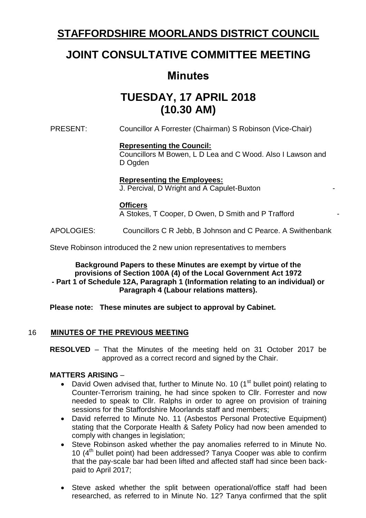# **STAFFORDSHIRE MOORLANDS DISTRICT COUNCIL**

# **JOINT CONSULTATIVE COMMITTEE MEETING**

# **Minutes**

# **TUESDAY, 17 APRIL 2018 (10.30 AM)**

PRESENT: Councillor A Forrester (Chairman) S Robinson (Vice-Chair)

# **Representing the Council:**

Councillors M Bowen, L D Lea and C Wood. Also I Lawson and D Ogden

#### **Representing the Employees:**

J. Percival, D Wright and A Capulet-Buxton -

#### **Officers**

A Stokes, T Cooper, D Owen, D Smith and P Trafford -

APOLOGIES: Councillors C R Jebb, B Johnson and C Pearce. A Swithenbank

Steve Robinson introduced the 2 new union representatives to members

#### **Background Papers to these Minutes are exempt by virtue of the provisions of Section 100A (4) of the Local Government Act 1972 - Part 1 of Schedule 12A, Paragraph 1 (Information relating to an individual) or Paragraph 4 (Labour relations matters).**

# **Please note: These minutes are subject to approval by Cabinet.**

# 16 **MINUTES OF THE PREVIOUS MEETING**

**RESOLVED** – That the Minutes of the meeting held on 31 October 2017 be approved as a correct record and signed by the Chair.

#### **MATTERS ARISING** –

- David Owen advised that, further to Minute No. 10 ( $1<sup>st</sup>$  bullet point) relating to Counter-Terrorism training, he had since spoken to Cllr. Forrester and now needed to speak to Cllr. Ralphs in order to agree on provision of training sessions for the Staffordshire Moorlands staff and members;
- David referred to Minute No. 11 (Asbestos Personal Protective Equipment) stating that the Corporate Health & Safety Policy had now been amended to comply with changes in legislation;
- Steve Robinson asked whether the pay anomalies referred to in Minute No. 10 (4th bullet point) had been addressed? Tanya Cooper was able to confirm that the pay-scale bar had been lifted and affected staff had since been backpaid to April 2017;
- Steve asked whether the split between operational/office staff had been researched, as referred to in Minute No. 12? Tanya confirmed that the split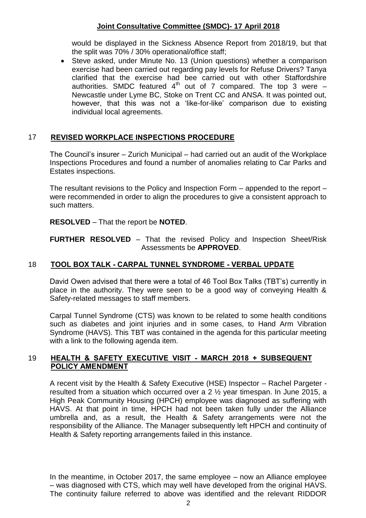would be displayed in the Sickness Absence Report from 2018/19, but that the split was 70% / 30% operational/office staff;

• Steve asked, under Minute No. 13 (Union questions) whether a comparison exercise had been carried out regarding pay levels for Refuse Drivers? Tanya clarified that the exercise had bee carried out with other Staffordshire authorities. SMDC featured  $4<sup>th</sup>$  out of 7 compared. The top 3 were  $-$ Newcastle under Lyme BC, Stoke on Trent CC and ANSA. It was pointed out, however, that this was not a 'like-for-like' comparison due to existing individual local agreements.

#### 17 **REVISED WORKPLACE INSPECTIONS PROCEDURE**

The Council's insurer – Zurich Municipal – had carried out an audit of the Workplace Inspections Procedures and found a number of anomalies relating to Car Parks and Estates inspections.

The resultant revisions to the Policy and Inspection Form – appended to the report – were recommended in order to align the procedures to give a consistent approach to such matters.

**RESOLVED** – That the report be **NOTED**.

**FURTHER RESOLVED** – That the revised Policy and Inspection Sheet/Risk Assessments be **APPROVED**.

# 18 **TOOL BOX TALK - CARPAL TUNNEL SYNDROME - VERBAL UPDATE**

David Owen advised that there were a total of 46 Tool Box Talks (TBT's) currently in place in the authority. They were seen to be a good way of conveying Health & Safety-related messages to staff members.

Carpal Tunnel Syndrome (CTS) was known to be related to some health conditions such as diabetes and joint injuries and in some cases, to Hand Arm Vibration Syndrome (HAVS). This TBT was contained in the agenda for this particular meeting with a link to the following agenda item.

#### 19 **HEALTH & SAFETY EXECUTIVE VISIT - MARCH 2018 + SUBSEQUENT POLICY AMENDMENT**

A recent visit by the Health & Safety Executive (HSE) Inspector – Rachel Pargeter resulted from a situation which occurred over a 2 ½ year timespan. In June 2015, a High Peak Community Housing (HPCH) employee was diagnosed as suffering with HAVS. At that point in time, HPCH had not been taken fully under the Alliance umbrella and, as a result, the Health & Safety arrangements were not the responsibility of the Alliance. The Manager subsequently left HPCH and continuity of Health & Safety reporting arrangements failed in this instance.

In the meantime, in October 2017, the same employee – now an Alliance employee – was diagnosed with CTS, which may well have developed from the original HAVS. The continuity failure referred to above was identified and the relevant RIDDOR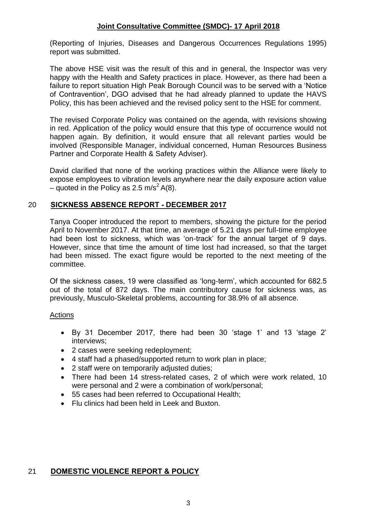(Reporting of Injuries, Diseases and Dangerous Occurrences Regulations 1995) report was submitted.

The above HSE visit was the result of this and in general, the Inspector was very happy with the Health and Safety practices in place. However, as there had been a failure to report situation High Peak Borough Council was to be served with a 'Notice of Contravention', DGO advised that he had already planned to update the HAVS Policy, this has been achieved and the revised policy sent to the HSE for comment.

The revised Corporate Policy was contained on the agenda, with revisions showing in red. Application of the policy would ensure that this type of occurrence would not happen again. By definition, it would ensure that all relevant parties would be involved (Responsible Manager, individual concerned, Human Resources Business Partner and Corporate Health & Safety Adviser).

David clarified that none of the working practices within the Alliance were likely to expose employees to vibration levels anywhere near the daily exposure action value – quoted in the Policy as 2.5 m/s<sup>2</sup> A(8).

# 20 **SICKNESS ABSENCE REPORT - DECEMBER 2017**

Tanya Cooper introduced the report to members, showing the picture for the period April to November 2017. At that time, an average of 5.21 days per full-time employee had been lost to sickness, which was 'on-track' for the annual target of 9 days. However, since that time the amount of time lost had increased, so that the target had been missed. The exact figure would be reported to the next meeting of the committee.

Of the sickness cases, 19 were classified as 'long-term', which accounted for 682.5 out of the total of 872 days. The main contributory cause for sickness was, as previously, Musculo-Skeletal problems, accounting for 38.9% of all absence.

#### Actions

- By 31 December 2017, there had been 30 'stage 1' and 13 'stage 2' interviews;
- 2 cases were seeking redeployment;
- 4 staff had a phased/supported return to work plan in place;
- 2 staff were on temporarily adjusted duties:
- There had been 14 stress-related cases, 2 of which were work related, 10 were personal and 2 were a combination of work/personal;
- 55 cases had been referred to Occupational Health;
- Flu clinics had been held in Leek and Buxton.

# 21 **DOMESTIC VIOLENCE REPORT & POLICY**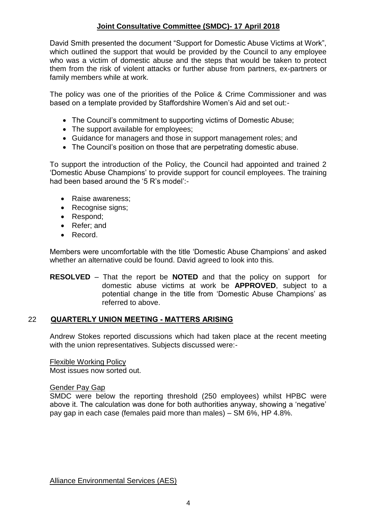David Smith presented the document "Support for Domestic Abuse Victims at Work", which outlined the support that would be provided by the Council to any employee who was a victim of domestic abuse and the steps that would be taken to protect them from the risk of violent attacks or further abuse from partners, ex-partners or family members while at work.

The policy was one of the priorities of the Police & Crime Commissioner and was based on a template provided by Staffordshire Women's Aid and set out:-

- The Council's commitment to supporting victims of Domestic Abuse;
- The support available for employees;
- Guidance for managers and those in support management roles; and
- The Council's position on those that are perpetrating domestic abuse.

To support the introduction of the Policy, the Council had appointed and trained 2 'Domestic Abuse Champions' to provide support for council employees. The training had been based around the '5 R's model':-

- Raise awareness:
- Recognise signs;
- Respond:
- Refer: and
- Record.

Members were uncomfortable with the title 'Domestic Abuse Champions' and asked whether an alternative could be found. David agreed to look into this.

**RESOLVED** – That the report be **NOTED** and that the policy on support for domestic abuse victims at work be **APPROVED**, subject to a potential change in the title from 'Domestic Abuse Champions' as referred to above.

# 22 **QUARTERLY UNION MEETING - MATTERS ARISING**

Andrew Stokes reported discussions which had taken place at the recent meeting with the union representatives. Subjects discussed were:-

Flexible Working Policy Most issues now sorted out.

Gender Pay Gap

SMDC were below the reporting threshold (250 employees) whilst HPBC were above it. The calculation was done for both authorities anyway, showing a 'negative' pay gap in each case (females paid more than males) – SM 6%, HP 4.8%.

Alliance Environmental Services (AES)